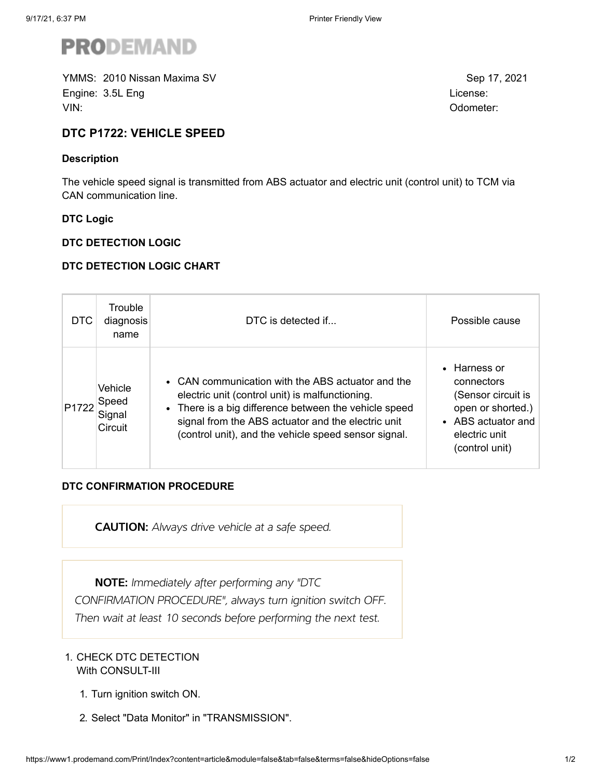

YMMS: Sep 17, 2021 2010 Nissan Maxima SVEngine: 3.5L Eng License: No. 2014 12:30 September 2014 12:30 September 2014 12:30 September 2014 12:30 September 2014 12:30 September 2014 12:30 September 2014 12:30 September 2014 12:30 September 2014 12:30 September 201 VIN: Odometer:

# **DTC P1722: VEHICLE SPEED**

### **Description**

The vehicle speed signal is transmitted from ABS actuator and electric unit (control unit) to TCM via CAN communication line.

### **DTC Logic**

#### **DTC DETECTION LOGIC**

### **DTC DETECTION LOGIC CHART**

| <b>DTC</b> | Trouble<br>diagnosis<br>name          | DTC is detected if                                                                                                                                                                                                                                                          | Possible cause                                                                                                                 |
|------------|---------------------------------------|-----------------------------------------------------------------------------------------------------------------------------------------------------------------------------------------------------------------------------------------------------------------------------|--------------------------------------------------------------------------------------------------------------------------------|
| P1722      | Vehicle<br>Speed<br>Signal<br>Circuit | • CAN communication with the ABS actuator and the<br>electric unit (control unit) is malfunctioning.<br>• There is a big difference between the vehicle speed<br>signal from the ABS actuator and the electric unit<br>(control unit), and the vehicle speed sensor signal. | • Harness or<br>connectors<br>(Sensor circuit is<br>open or shorted.)<br>• ABS actuator and<br>electric unit<br>(control unit) |

## **DTC CONFIRMATION PROCEDURE**

**CAUTION:** Always drive vehicle at a safe speed.

NOTE: Immediately after performing any "DTC

CONFIRMATION PROCEDURE", always turn ignition switch OFF.

Then wait at least 10 seconds before performing the next test.

### 1. CHECK DTC DETECTION With CONSULT-III

- 1. Turn ignition switch ON.
- 2. Select "Data Monitor" in "TRANSMISSION".